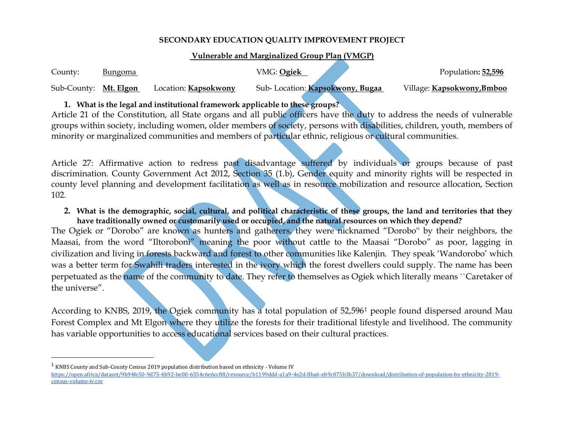### **SECONDARY EDUCATION QUALITY IMPROVEMENT PROJECT**

#### **Vulnerable and Marginalized Group Plan (VMGP)**

| County:               | <u>Bungoma</u> |                             | VMG: Ogiek                      | Population: 52,596                |
|-----------------------|----------------|-----------------------------|---------------------------------|-----------------------------------|
| Sub-County: Mt. Elgon |                | Location: <b>Kapsokwony</b> | Sub-Location: Kapsokwony, Bugaa | Village: <b>Kapsokwony, Bmboo</b> |

### **1. What is the legal and institutional framework applicable to these groups?**

Article 21 of the Constitution, all State organs and all public officers have the duty to address the needs of vulnerable groups within society, including women, older members of society, persons with disabilities, children, youth, members of minority or marginalized communities and members of particular ethnic, religious or cultural communities.

Article 27: Affirmative action to redress past disadvantage suffered by individuals or groups because of past discrimination. County Government Act 2012, Section 35 (1.b), Gender equity and minority rights will be respected in county level planning and development facilitation as well as in resource mobilization and resource allocation, Section 102.

**2. What is the demographic, social, cultural, and political characteristic of these groups, the land and territories that they have traditionally owned or customarily used or occupied, and the natural resources on which they depend?**

The Ogiek or "Dorobo" are known as hunters and gatherers, they were nicknamed "Dorobo'' by their neighbors, the Maasai, from the word "Iltoroboni" meaning the poor without cattle to the Maasai "Dorobo" as poor, lagging in civilization and living in forests backward and forest to other communities like Kalenjin. They speak 'Wandorobo' which was a better term for Swahili traders interested in the ivory which the forest dwellers could supply. The name has been perpetuated as the name of the community to date. They refer to themselves as Ogiek which literally means ``Caretaker of the universe".

According to KNBS, 2019, the Ogiek community has a total population of 52,596<sup>1</sup> people found dispersed around Mau Forest Complex and Mt Elgon where they utilize the forests for their traditional lifestyle and livelihood. The community has variable opportunities to access educational services based on their cultural practices.

 $\overline{\phantom{a}}$ 

 $^1$  KNBS County and Sub-County Census 2019 population distribution based on ethnicity - Volume IV

[https://open.africa/dataset/9b94fe50-9d75-4b92-be00-6354c6e6cc88/resource/b1199ddd-a1a9-4e2d-8ba6-eb9c075b3b37/download/distribution-of-population-by-ethnicity-2019](https://open.africa/dataset/9b94fe50-9d75-4b92-be00-6354c6e6cc88/resource/b1199ddd-a1a9-4e2d-8ba6-eb9c075b3b37/download/distribution-of-population-by-ethnicity-2019-census-volume-iv.csv) [census-volume-iv.csv](https://open.africa/dataset/9b94fe50-9d75-4b92-be00-6354c6e6cc88/resource/b1199ddd-a1a9-4e2d-8ba6-eb9c075b3b37/download/distribution-of-population-by-ethnicity-2019-census-volume-iv.csv)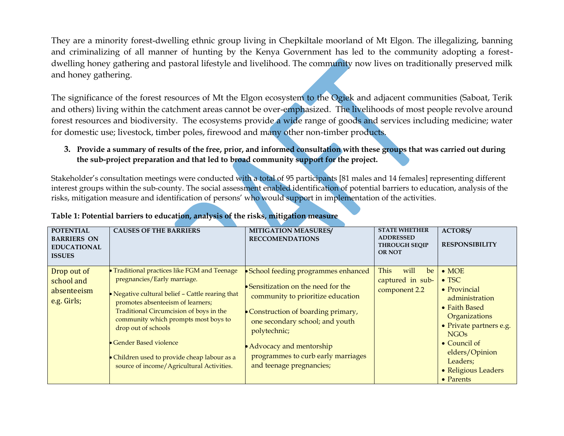They are a minority forest-dwelling ethnic group living in Chepkiltale moorland of Mt Elgon. The illegalizing, banning and criminalizing of all manner of hunting by the Kenya Government has led to the community adopting a forestdwelling honey gathering and pastoral lifestyle and livelihood. The community now lives on traditionally preserved milk and honey gathering.

The significance of the forest resources of Mt the Elgon ecosystem to the Ogiek and adjacent communities (Saboat, Terik and others) living within the catchment areas cannot be over-emphasized. The livelihoods of most people revolve around forest resources and biodiversity. The ecosystems provide a wide range of goods and services including medicine; water for domestic use; livestock, timber poles, firewood and many other non-timber products.

### **3. Provide a summary of results of the free, prior, and informed consultation with these groups that was carried out during the sub-project preparation and that led to broad community support for the project.**

Stakeholder's consultation meetings were conducted with a total of 95 participants [81 males and 14 females] representing different interest groups within the sub-county. The social assessment enabled identification of potential barriers to education, analysis of the risks, mitigation measure and identification of persons' who would support in implementation of the activities.

| <b>POTENTIAL</b><br><b>BARRIERS ON</b><br><b>EDUCATIONAL</b><br><b>ISSUES</b> | <b>CAUSES OF THE BARRIERS</b>                                                                                                                                                                                                                                                                                                                                                                      | <b>MITIGATION MEASURES/</b><br><b>RECCOMENDATIONS</b>                                                                                                                                                                                                                                                     | <b>STATE WHETHER</b><br><b>ADDRESSED</b><br><b>THROUGH SEQIP</b><br><b>OR NOT</b> | <b>ACTORS/</b><br><b>RESPONSIBILITY</b>                                                                                                                                                                                                                           |
|-------------------------------------------------------------------------------|----------------------------------------------------------------------------------------------------------------------------------------------------------------------------------------------------------------------------------------------------------------------------------------------------------------------------------------------------------------------------------------------------|-----------------------------------------------------------------------------------------------------------------------------------------------------------------------------------------------------------------------------------------------------------------------------------------------------------|-----------------------------------------------------------------------------------|-------------------------------------------------------------------------------------------------------------------------------------------------------------------------------------------------------------------------------------------------------------------|
| Drop out of<br>school and<br>absenteeism<br>e.g. Girls;                       | Traditional practices like FGM and Teenage<br>pregnancies/Early marriage.<br>• Negative cultural belief - Cattle rearing that<br>promotes absenteeism of learners;<br>Traditional Circumcision of boys in the<br>community which prompts most boys to<br>drop out of schools<br>• Gender Based violence<br>Children used to provide cheap labour as a<br>source of income/Agricultural Activities. | • School feeding programmes enhanced<br>• Sensitization on the need for the<br>community to prioritize education<br>• Construction of boarding primary,<br>one secondary school; and youth<br>polytechnic;<br>• Advocacy and mentorship<br>programmes to curb early marriages<br>and teenage pregnancies; | <b>This</b><br>will<br>be<br>captured in sub-<br>component 2.2                    | $\bullet$ MOE<br>$\bullet$ TSC<br>$\bullet$ Provincial<br>administration<br>• Faith Based<br>Organizations<br>• Private partners e.g.<br><b>NGO<sub>s</sub></b><br>$\bullet$ Council of<br>elders/Opinion<br>Leaders;<br>• Religious Leaders<br>$\bullet$ Parents |

### **Table 1: Potential barriers to education, analysis of the risks, mitigation measure**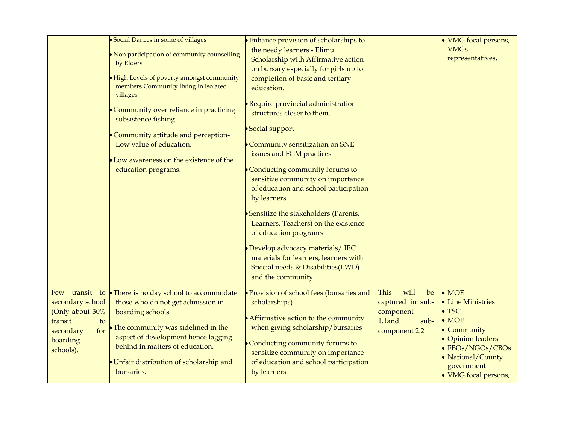|                                                                                                                     | · Social Dances in some of villages<br>• Non participation of community counselling<br>by Elders<br>• High Levels of poverty amongst community<br>members Community living in isolated<br>villages<br>• Community over reliance in practicing<br>subsistence fishing.<br>• Community attitude and perception-<br>Low value of education.<br>• Low awareness on the existence of the<br>education programs. | <b>Enhance provision of scholarships to</b><br>the needy learners - Elimu<br>Scholarship with Affirmative action<br>on bursary especially for girls up to<br>completion of basic and tertiary<br>education.<br><b>• Require provincial administration</b><br>structures closer to them.<br>• Social support<br>• Community sensitization on SNE<br>issues and FGM practices<br>• Conducting community forums to<br>sensitize community on importance<br>of education and school participation<br>by learners.<br>• Sensitize the stakeholders (Parents,<br>Learners, Teachers) on the existence<br>of education programs<br>• Develop advocacy materials/ IEC<br>materials for learners, learners with<br>Special needs & Disabilities(LWD)<br>and the community |                                                                                               | • VMG focal persons,<br><b>VMGs</b><br>representatives,                                                                                                                                  |
|---------------------------------------------------------------------------------------------------------------------|------------------------------------------------------------------------------------------------------------------------------------------------------------------------------------------------------------------------------------------------------------------------------------------------------------------------------------------------------------------------------------------------------------|------------------------------------------------------------------------------------------------------------------------------------------------------------------------------------------------------------------------------------------------------------------------------------------------------------------------------------------------------------------------------------------------------------------------------------------------------------------------------------------------------------------------------------------------------------------------------------------------------------------------------------------------------------------------------------------------------------------------------------------------------------------|-----------------------------------------------------------------------------------------------|------------------------------------------------------------------------------------------------------------------------------------------------------------------------------------------|
| Few transit to<br>secondary school<br>(Only about 30%<br>transit<br>to<br>for<br>secondary<br>boarding<br>schools). | • There is no day school to accommodate<br>those who do not get admission in<br>boarding schools<br>• The community was sidelined in the<br>aspect of development hence lagging<br>behind in matters of education.<br>• Unfair distribution of scholarship and<br>bursaries.                                                                                                                               | • Provision of school fees (bursaries and<br>scholarships)<br>• Affirmative action to the community<br>when giving scholarship/bursaries<br>• Conducting community forums to<br>sensitize community on importance<br>of education and school participation<br>by learners.                                                                                                                                                                                                                                                                                                                                                                                                                                                                                       | will<br><b>This</b><br>be<br>captured in sub-<br>component<br>1.1and<br>sub-<br>component 2.2 | $\bullet$ MOE<br>• Line Ministries<br>$\bullet$ TSC<br>$\bullet$ MOE<br>• Community<br>• Opinion leaders<br>• FBOs/NGOs/CBOs.<br>• National/County<br>government<br>• VMG focal persons, |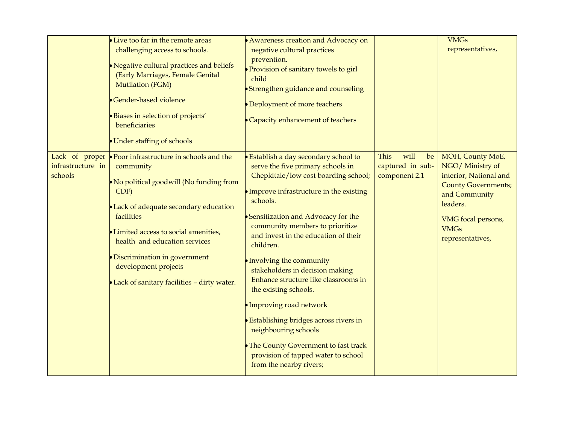|                              | • Live too far in the remote areas<br>challenging access to schools.<br>• Negative cultural practices and beliefs<br>(Early Marriages, Female Genital<br>Mutilation (FGM)<br>• Gender-based violence<br>· Biases in selection of projects'<br>beneficiaries<br>• Under staffing of schools                                                                                   | • Awareness creation and Advocacy on<br>negative cultural practices<br>prevention.<br>• Provision of sanitary towels to girl<br>child<br>Strengthen guidance and counseling<br>Deployment of more teachers<br>Capacity enhancement of teachers                                                                                                                                                                                                                                                                                                                                                                                                              |                                                         | <b>VMGs</b><br>representatives,                                                                                                                                                    |
|------------------------------|------------------------------------------------------------------------------------------------------------------------------------------------------------------------------------------------------------------------------------------------------------------------------------------------------------------------------------------------------------------------------|-------------------------------------------------------------------------------------------------------------------------------------------------------------------------------------------------------------------------------------------------------------------------------------------------------------------------------------------------------------------------------------------------------------------------------------------------------------------------------------------------------------------------------------------------------------------------------------------------------------------------------------------------------------|---------------------------------------------------------|------------------------------------------------------------------------------------------------------------------------------------------------------------------------------------|
| infrastructure in<br>schools | Lack of proper $\bullet$ Poor infrastructure in schools and the<br>community<br>• No political goodwill (No funding from<br>CDF)<br>• Lack of adequate secondary education<br>facilities<br>• Limited access to social amenities,<br>health and education services<br>• Discrimination in government<br>development projects<br>• Lack of sanitary facilities - dirty water. | <b>Establish a day secondary school to</b><br>serve the five primary schools in<br>Chepkitale/low cost boarding school;<br>• Improve infrastructure in the existing<br>schools.<br>Sensitization and Advocacy for the<br>community members to prioritize<br>and invest in the education of their<br>children.<br>Involving the community<br>stakeholders in decision making<br>Enhance structure like classrooms in<br>the existing schools.<br>• Improving road network<br><b>Establishing bridges across rivers in</b><br>neighbouring schools<br>• The County Government to fast track<br>provision of tapped water to school<br>from the nearby rivers; | will<br>This<br>be<br>captured in sub-<br>component 2.1 | MOH, County MoE,<br>NGO/ Ministry of<br>interior, National and<br><b>County Governments;</b><br>and Community<br>leaders.<br>VMG focal persons,<br><b>VMGs</b><br>representatives, |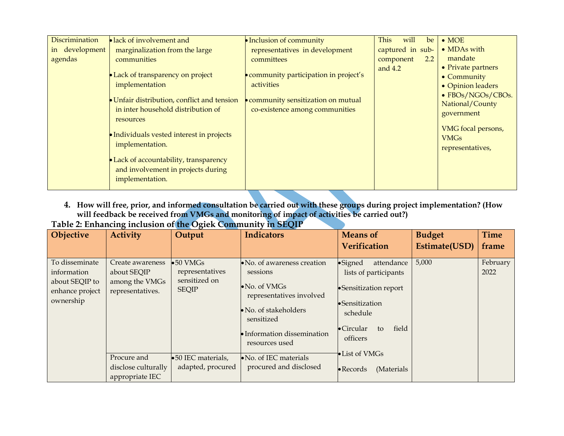| Discrimination | lack of involvement and                     | • Inclusion of community               | will<br>This<br>be | $\bullet$ MOE      |
|----------------|---------------------------------------------|----------------------------------------|--------------------|--------------------|
| in development | marginalization from the large              | representatives in development         | captured in sub-   | • MDAs with        |
| agendas        | communities                                 | committees                             | 2.2<br>component   | mandate            |
|                |                                             |                                        | and $4.2$          | • Private partners |
|                | • Lack of transparency on project           | • community participation in project's |                    | • Community        |
|                | implementation                              | activities                             |                    | • Opinion leaders  |
|                | • Unfair distribution, conflict and tension | community sensitization on mutual      |                    | • FBOs/NGOs/CBOs.  |
|                | in inter household distribution of          |                                        |                    | National/County    |
|                |                                             | co-existence among communities         |                    | government         |
|                | resources                                   |                                        |                    |                    |
|                | • Individuals vested interest in projects   |                                        |                    | VMG focal persons, |
|                | implementation.                             |                                        |                    | <b>VMGs</b>        |
|                |                                             |                                        |                    | representatives,   |
|                | • Lack of accountability, transparency      |                                        |                    |                    |
|                | and involvement in projects during          |                                        |                    |                    |
|                | implementation.                             |                                        |                    |                    |
|                |                                             |                                        |                    |                    |

**4. How will free, prior, and informed consultation be carried out with these groups during project implementation? (How will feedback be received from VMGs and monitoring of impact of activities be carried out?)**

| Table 2: Enhancing inclusion of the Ogiek Community in SEQIP |  |  |
|--------------------------------------------------------------|--|--|
|--------------------------------------------------------------|--|--|

| <b>Objective</b>                                                                | <b>Activity</b>                                                       | Output                                                                | <b>Indicators</b>                                                                                                                                                                            | <b>Means of</b><br><b>Verification</b>                                                                                                                           | <b>Budget</b><br>Estimate(USD) | <b>Time</b><br>frame |
|---------------------------------------------------------------------------------|-----------------------------------------------------------------------|-----------------------------------------------------------------------|----------------------------------------------------------------------------------------------------------------------------------------------------------------------------------------------|------------------------------------------------------------------------------------------------------------------------------------------------------------------|--------------------------------|----------------------|
| To disseminate<br>information<br>about SEQIP to<br>enhance project<br>ownership | Create awareness<br>about SEQIP<br>among the VMGs<br>representatives. | $\bullet 50$ VMGs<br>representatives<br>sensitized on<br><b>SEQIP</b> | • No. of awareness creation<br>sessions<br>$\bullet$ No. of VMGs<br>representatives involved<br>$\bullet$ No. of stakeholders<br>sensitized<br>• Information dissemination<br>resources used | •Signed<br>attendance<br>lists of participants<br>• Sensitization report<br>$\bullet$ Sensitization<br>schedule<br>field<br>$\bullet$ Circular<br>to<br>officers | 5,000                          | February<br>2022     |
|                                                                                 | Procure and<br>disclose culturally<br>appropriate IEC                 | •50 IEC materials,<br>adapted, procured                               | $\bullet$ No. of IEC materials<br>procured and disclosed                                                                                                                                     | • List of VMGs<br>$\bullet$ Records<br>(Materials                                                                                                                |                                |                      |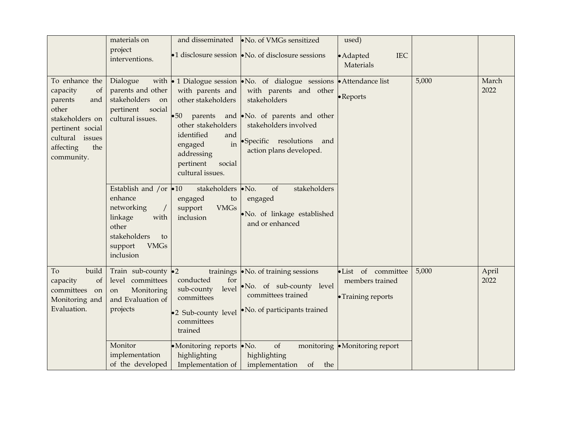|                                                                                                                                                         | materials on<br>project<br>interventions.                                                                                                        |                                                                                                                                                                            | and disseminated •No. of VMGs sensitized<br>•1 disclosure session $\bullet$ No. of disclosure sessions                                                                                                                                                    | used)<br><b>IEC</b><br>• Adapted<br>Materials               |       |               |
|---------------------------------------------------------------------------------------------------------------------------------------------------------|--------------------------------------------------------------------------------------------------------------------------------------------------|----------------------------------------------------------------------------------------------------------------------------------------------------------------------------|-----------------------------------------------------------------------------------------------------------------------------------------------------------------------------------------------------------------------------------------------------------|-------------------------------------------------------------|-------|---------------|
| To enhance the<br>capacity<br>of<br>parents<br>and<br>other<br>stakeholders on<br>pertinent social<br>cultural issues<br>the<br>affecting<br>community. | Dialogue<br>parents and other<br>stakeholders<br>on<br>pertinent<br>social<br>cultural issues.                                                   | with parents and<br>other stakeholders<br>•50 parents<br>other stakeholders<br>identified<br>and<br>in<br>engaged<br>addressing<br>pertinent<br>social<br>cultural issues. | with $\bullet$ 1 Dialogue session $\bullet$ No. of dialogue sessions $\bullet$ Attendance list<br>with parents and other<br>stakeholders<br>and No. of parents and other<br>stakeholders involved<br>·Specific resolutions and<br>action plans developed. | • Reports                                                   | 5,000 | March<br>2022 |
|                                                                                                                                                         | Establish and /or $\bullet$ 10<br>enhance<br>networking<br>linkage<br>with<br>other<br>stakeholders<br>to<br><b>VMGs</b><br>support<br>inclusion | stakeholders • No.<br>engaged<br>to<br><b>VMGs</b><br>support<br>inclusion                                                                                                 | stakeholders<br>of<br>engaged<br>· No. of linkage established<br>and or enhanced                                                                                                                                                                          |                                                             |       |               |
| build<br>To<br>capacity<br>of<br>committees<br>on<br>Monitoring and<br>Evaluation.                                                                      | Train sub-county $\bullet 2$<br>level committees<br>Monitoring<br>on<br>and Evaluation of<br>projects                                            | conducted<br>for<br>level<br>sub-county<br>committees<br>•2 Sub-county level<br>committees<br>trained                                                                      | trainings • No. of training sessions<br>No. of sub-county level<br>committees trained<br>• No. of participants trained                                                                                                                                    | ·List of committee<br>members trained<br>• Training reports | 5,000 | April<br>2022 |
|                                                                                                                                                         | Monitor<br>implementation<br>of the developed                                                                                                    | •Monitoring reports •No.<br>highlighting<br>Implementation of                                                                                                              | of<br>highlighting<br>implementation<br>of<br>the                                                                                                                                                                                                         | monitoring • Monitoring report                              |       |               |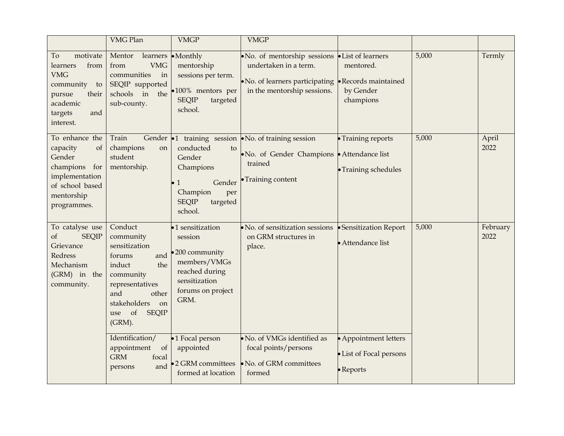|                                                                                                                                   | <b>VMG Plan</b>                                                                                                                                                                                                                                     | <b>VMGP</b>                                                                                                                                                  | <b>VMGP</b>                                                                                                                                    |                                                                                                 |       |                  |
|-----------------------------------------------------------------------------------------------------------------------------------|-----------------------------------------------------------------------------------------------------------------------------------------------------------------------------------------------------------------------------------------------------|--------------------------------------------------------------------------------------------------------------------------------------------------------------|------------------------------------------------------------------------------------------------------------------------------------------------|-------------------------------------------------------------------------------------------------|-------|------------------|
| motivate<br>To<br>from<br>learners<br><b>VMG</b><br>community<br>to<br>their<br>pursue<br>academic<br>targets<br>and<br>interest. | Mentor<br>learners<br>from<br><b>VMG</b><br>communities<br>in<br>SEQIP supported<br>schools<br>$\sin$<br>the<br>sub-county.                                                                                                                         | $\bullet$ Monthly<br>mentorship<br>sessions per term.<br>·100% mentors per<br><b>SEQIP</b><br>targeted<br>school.                                            | • No. of mentorship sessions<br>undertaken in a term.<br>• No. of learners participating • Records maintained<br>in the mentorship sessions.   | • List of learners<br>mentored.<br>by Gender<br>champions                                       | 5,000 | Termly           |
| To enhance the<br>capacity<br>of<br>Gender<br>champions<br>for<br>implementation<br>of school based<br>mentorship<br>programmes.  | Train<br>Gender<br>champions<br>on<br>student<br>mentorship.                                                                                                                                                                                        | conducted<br>to<br>Gender<br>Champions<br>Gender<br>$\mathbf{1}$<br>Champion<br>per<br><b>SEQIP</b><br>targeted<br>school.                                   | $\bullet$ 1 training session $\bullet$ No. of training session<br>• No. of Gender Champions • Attendance list<br>trained<br>• Training content | • Training reports<br>• Training schedules                                                      | 5,000 | April<br>2022    |
| To catalyse use<br><b>SEQIP</b><br>of<br>Grievance<br>Redress<br>Mechanism<br>(GRM) in the<br>community.                          | Conduct<br>community<br>sensitization<br>and<br>forums<br>induct<br>the<br>community<br>representatives<br>and<br>other<br>stakeholders<br>on<br>of<br><b>SEQIP</b><br>use<br>(GRM).<br>Identification/<br>appointment<br>of<br><b>GRM</b><br>focal | •1 sensitization<br>session<br>200 community<br>members/VMGs<br>reached during<br>sensitization<br>forums on project<br>GRM.<br>•1 Focal person<br>appointed | No. of sensitization sessions<br>on GRM structures in<br>place.<br>No. of VMGs identified as<br>focal points/persons                           | • Sensitization Report<br>• Attendance list<br>• Appointment letters<br>• List of Focal persons | 5,000 | February<br>2022 |
|                                                                                                                                   | and<br>persons                                                                                                                                                                                                                                      | •2 GRM committees<br>formed at location                                                                                                                      | No. of GRM committees<br>formed                                                                                                                | • Reports                                                                                       |       |                  |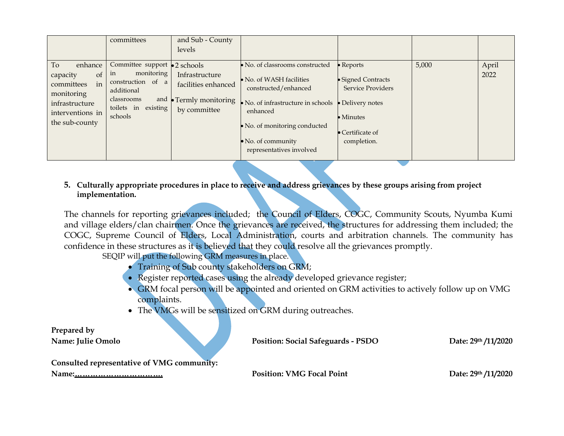|                                                                                                                                      | committees                                                                                                                                  | and Sub - County<br>levels                                                 |                                                                                                                                                                                                                                |                                                                                                                                                 |       |               |
|--------------------------------------------------------------------------------------------------------------------------------------|---------------------------------------------------------------------------------------------------------------------------------------------|----------------------------------------------------------------------------|--------------------------------------------------------------------------------------------------------------------------------------------------------------------------------------------------------------------------------|-------------------------------------------------------------------------------------------------------------------------------------------------|-------|---------------|
| To<br>enhance<br><sub>of</sub><br>capacity<br>in<br>committees<br>monitoring<br>infrastructure<br>interventions in<br>the sub-county | Committee support • 2 schools<br>monitoring<br>1n<br>construction of a<br>additional<br>classrooms<br>and<br>toilets in existing<br>schools | Infrastructure<br>facilities enhanced<br>Termly monitoring<br>by committee | • No. of classrooms constructed<br>• No. of WASH facilities<br>constructed/enhanced<br>No. of infrastructure in schools<br>enhanced<br>• No. of monitoring conducted<br>$\bullet$ No. of community<br>representatives involved | • Reports<br>· Signed Contracts<br><b>Service Providers</b><br>• Delivery notes<br>$\bullet$ Minutes<br>$\bullet$ Certificate of<br>completion. | 5,000 | April<br>2022 |

## **5. Culturally appropriate procedures in place to receive and address grievances by these groups arising from project implementation.**

The channels for reporting grievances included; the Council of Elders, COGC, Community Scouts, Nyumba Kumi and village elders/clan chairmen. Once the grievances are received, the structures for addressing them included; the COGC, Supreme Council of Elders, Local Administration, courts and arbitration channels. The community has confidence in these structures as it is believed that they could resolve all the grievances promptly.

SEQIP will put the following GRM measures in place.

- Training of Sub county stakeholders on GRM;
- Register reported cases using the already developed grievance register;
- GRM focal person will be appointed and oriented on GRM activities to actively follow up on VMG complaints.
- The VMGs will be sensitized on GRM during outreaches.

| Prepared by                                |                                           |                     |
|--------------------------------------------|-------------------------------------------|---------------------|
| <b>Name: Julie Omolo</b>                   | <b>Position: Social Safeguards - PSDO</b> | Date: 29th /11/2020 |
| Consulted representative of VMG community: |                                           |                     |
|                                            | <b>Position: VMG Focal Point</b>          | Date: 29th /11/2020 |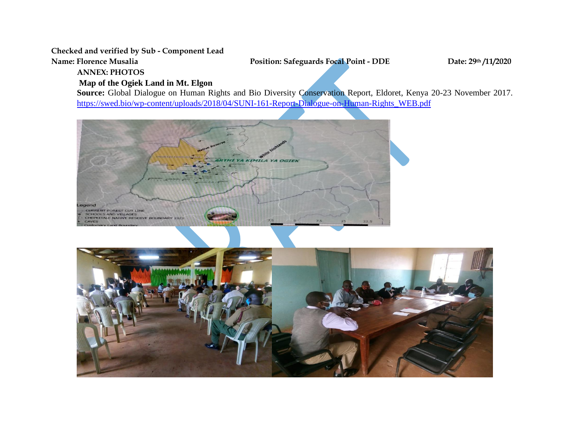**Checked and verified by Sub - Component Lead**

**Name: Florence Musalia Position: Safeguards Focal Point - DDE Date: 29th /11/2020**

**ANNEX: PHOTOS**

# **Map of the Ogiek Land in Mt. Elgon**

**Source:** Global Dialogue on Human Rights and Bio Diversity Conservation Report, Eldoret, Kenya 20-23 November 2017. [https://swed.bio/wp-content/uploads/2018/04/SUNI-161-Report-Dialogue-on-Human-Rights\\_WEB.pdf](https://swed.bio/wp-content/uploads/2018/04/SUNI-161-Report-Dialogue-on-Human-Rights_WEB.pdf)